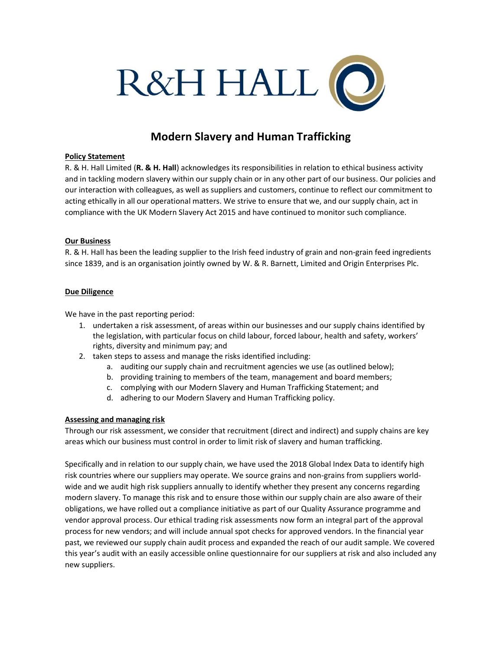

# Modern Slavery and Human Trafficking

### Policy Statement

R. & H. Hall Limited (R. & H. Hall) acknowledges its responsibilities in relation to ethical business activity and in tackling modern slavery within our supply chain or in any other part of our business. Our policies and our interaction with colleagues, as well as suppliers and customers, continue to reflect our commitment to acting ethically in all our operational matters. We strive to ensure that we, and our supply chain, act in compliance with the UK Modern Slavery Act 2015 and have continued to monitor such compliance.

#### Our Business

R. & H. Hall has been the leading supplier to the Irish feed industry of grain and non-grain feed ingredients since 1839, and is an organisation jointly owned by W. & R. Barnett, Limited and Origin Enterprises Plc.

#### Due Diligence

We have in the past reporting period:

- 1. undertaken a risk assessment, of areas within our businesses and our supply chains identified by the legislation, with particular focus on child labour, forced labour, health and safety, workers' rights, diversity and minimum pay; and
- 2. taken steps to assess and manage the risks identified including:
	- a. auditing our supply chain and recruitment agencies we use (as outlined below);
	- b. providing training to members of the team, management and board members;
	- c. complying with our Modern Slavery and Human Trafficking Statement; and
	- d. adhering to our Modern Slavery and Human Trafficking policy.

### Assessing and managing risk

Through our risk assessment, we consider that recruitment (direct and indirect) and supply chains are key areas which our business must control in order to limit risk of slavery and human trafficking.

Specifically and in relation to our supply chain, we have used the 2018 Global Index Data to identify high risk countries where our suppliers may operate. We source grains and non-grains from suppliers worldwide and we audit high risk suppliers annually to identify whether they present any concerns regarding modern slavery. To manage this risk and to ensure those within our supply chain are also aware of their obligations, we have rolled out a compliance initiative as part of our Quality Assurance programme and vendor approval process. Our ethical trading risk assessments now form an integral part of the approval process for new vendors; and will include annual spot checks for approved vendors. In the financial year past, we reviewed our supply chain audit process and expanded the reach of our audit sample. We covered this year's audit with an easily accessible online questionnaire for our suppliers at risk and also included any new suppliers.